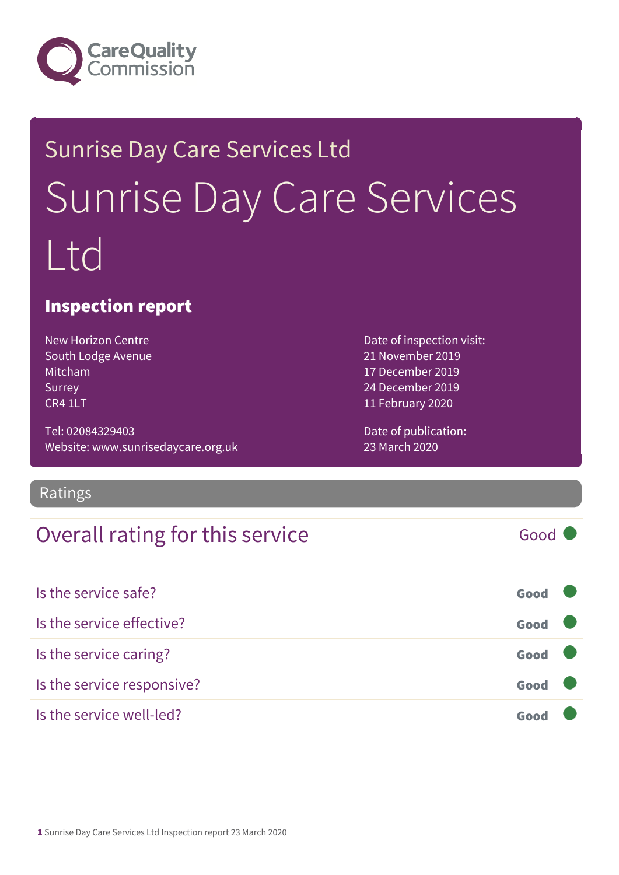

# Sunrise Day Care Services Ltd Sunrise Day Care Services Ltd

### Inspection report

New Horizon Centre South Lodge Avenue Mitcham Surrey CR4 1LT

Tel: 02084329403 Website: www.sunrisedaycare.org.uk

Ratings

### Overall rating for this service Fig. 6000 (Good 6)

Is the service safe? Good Is the service effective? Contact the service effective? Is the service caring? Good Is the service responsive? Good Is the service well-led? Good

Date of inspection visit: 21 November 2019 17 December 2019 24 December 2019 11 February 2020

Date of publication: 23 March 2020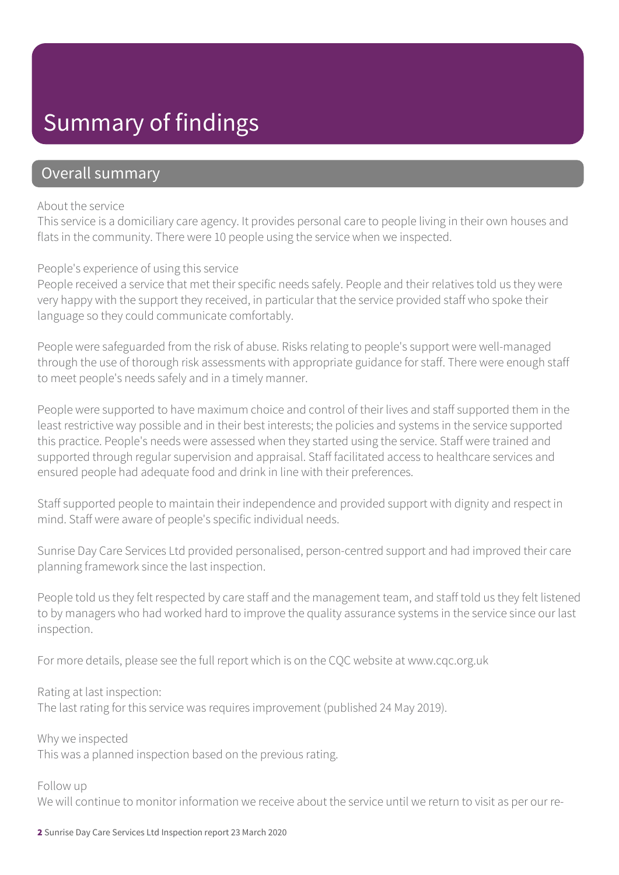### Summary of findings

### Overall summary

#### About the service

This service is a domiciliary care agency. It provides personal care to people living in their own houses and flats in the community. There were 10 people using the service when we inspected.

#### People's experience of using this service

People received a service that met their specific needs safely. People and their relatives told us they were very happy with the support they received, in particular that the service provided staff who spoke their language so they could communicate comfortably.

People were safeguarded from the risk of abuse. Risks relating to people's support were well-managed through the use of thorough risk assessments with appropriate guidance for staff. There were enough staff to meet people's needs safely and in a timely manner.

People were supported to have maximum choice and control of their lives and staff supported them in the least restrictive way possible and in their best interests; the policies and systems in the service supported this practice. People's needs were assessed when they started using the service. Staff were trained and supported through regular supervision and appraisal. Staff facilitated access to healthcare services and ensured people had adequate food and drink in line with their preferences.

Staff supported people to maintain their independence and provided support with dignity and respect in mind. Staff were aware of people's specific individual needs.

Sunrise Day Care Services Ltd provided personalised, person-centred support and had improved their care planning framework since the last inspection.

People told us they felt respected by care staff and the management team, and staff told us they felt listened to by managers who had worked hard to improve the quality assurance systems in the service since our last inspection.

For more details, please see the full report which is on the CQC website at www.cqc.org.uk

#### Rating at last inspection:

The last rating for this service was requires improvement (published 24 May 2019).

Why we inspected This was a planned inspection based on the previous rating.

#### Follow up

We will continue to monitor information we receive about the service until we return to visit as per our re-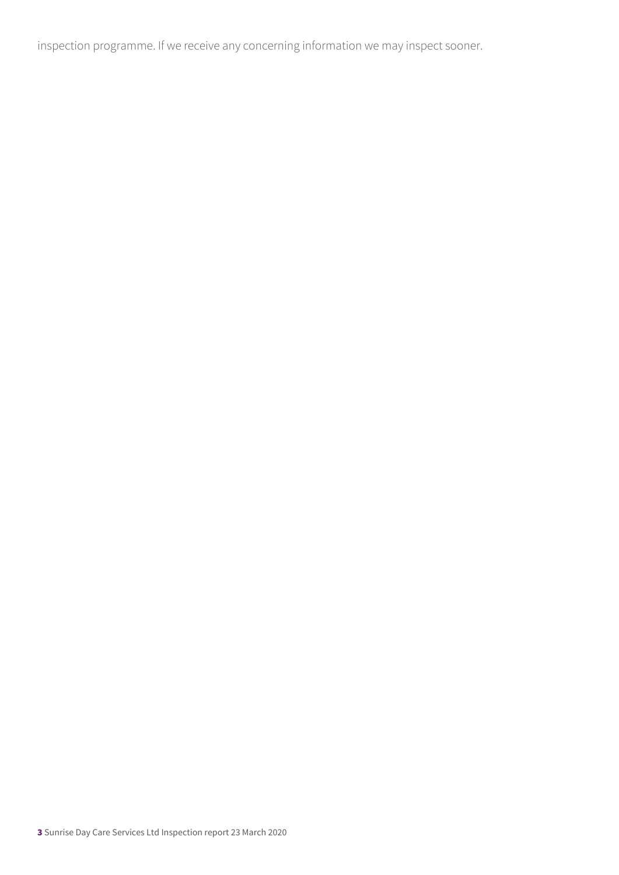inspection programme. If we receive any concerning information we may inspect sooner.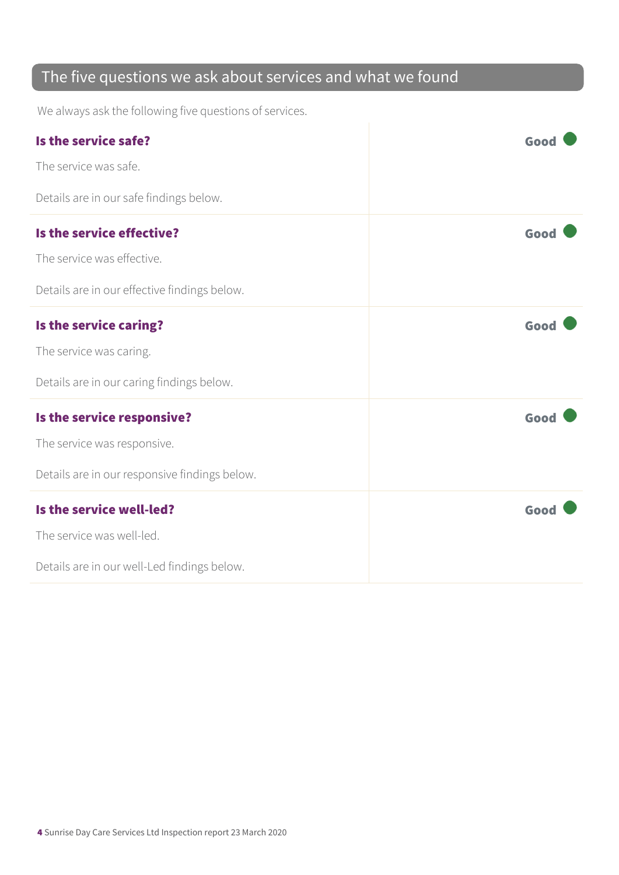### The five questions we ask about services and what we found

We always ask the following five questions of services.

| Is the service safe?                          | Good |
|-----------------------------------------------|------|
| The service was safe.                         |      |
| Details are in our safe findings below.       |      |
| Is the service effective?                     | Good |
| The service was effective.                    |      |
| Details are in our effective findings below.  |      |
| Is the service caring?                        | Good |
| The service was caring.                       |      |
| Details are in our caring findings below.     |      |
| Is the service responsive?                    | Good |
| The service was responsive.                   |      |
| Details are in our responsive findings below. |      |
| Is the service well-led?                      | Good |
| The service was well-led.                     |      |
| Details are in our well-Led findings below.   |      |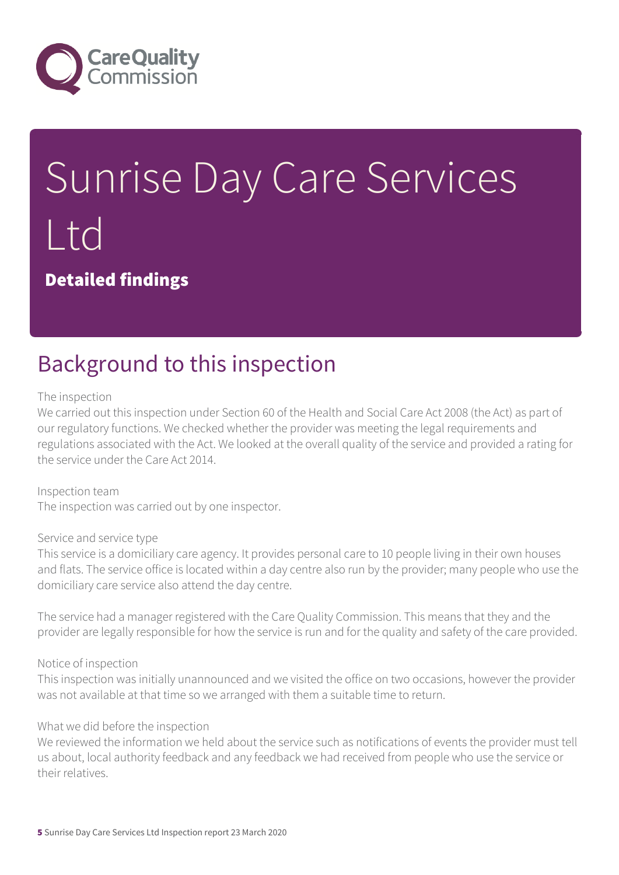

# Sunrise Day Care Services Ltd

Detailed findings

### Background to this inspection

#### The inspection

We carried out this inspection under Section 60 of the Health and Social Care Act 2008 (the Act) as part of our regulatory functions. We checked whether the provider was meeting the legal requirements and regulations associated with the Act. We looked at the overall quality of the service and provided a rating for the service under the Care Act 2014.

Inspection team The inspection was carried out by one inspector.

#### Service and service type

This service is a domiciliary care agency. It provides personal care to 10 people living in their own houses and flats. The service office is located within a day centre also run by the provider; many people who use the domiciliary care service also attend the day centre.

The service had a manager registered with the Care Quality Commission. This means that they and the provider are legally responsible for how the service is run and for the quality and safety of the care provided.

#### Notice of inspection

This inspection was initially unannounced and we visited the office on two occasions, however the provider was not available at that time so we arranged with them a suitable time to return.

#### What we did before the inspection

We reviewed the information we held about the service such as notifications of events the provider must tell us about, local authority feedback and any feedback we had received from people who use the service or their relatives.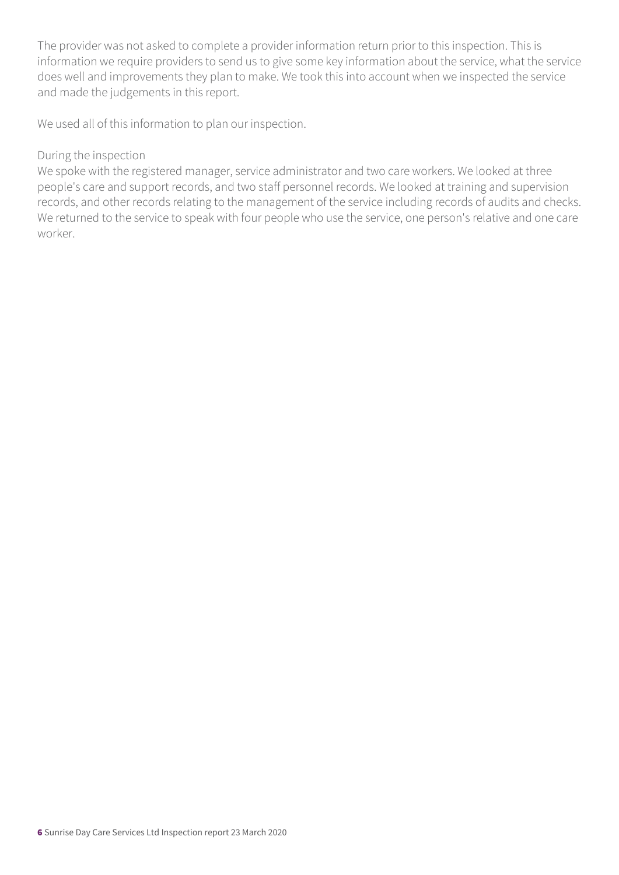The provider was not asked to complete a provider information return prior to this inspection. This is information we require providers to send us to give some key information about the service, what the service does well and improvements they plan to make. We took this into account when we inspected the service and made the judgements in this report.

We used all of this information to plan our inspection.

#### During the inspection

We spoke with the registered manager, service administrator and two care workers. We looked at three people's care and support records, and two staff personnel records. We looked at training and supervision records, and other records relating to the management of the service including records of audits and checks. We returned to the service to speak with four people who use the service, one person's relative and one care worker.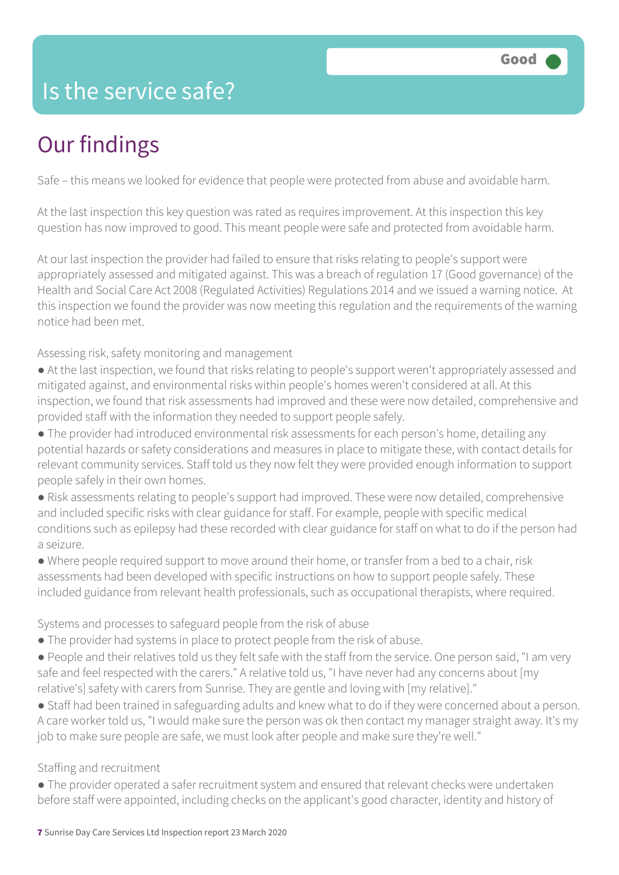### Is the service safe?

## Our findings

Safe – this means we looked for evidence that people were protected from abuse and avoidable harm.

At the last inspection this key question was rated as requires improvement. At this inspection this key question has now improved to good. This meant people were safe and protected from avoidable harm.

At our last inspection the provider had failed to ensure that risks relating to people's support were appropriately assessed and mitigated against. This was a breach of regulation 17 (Good governance) of the Health and Social Care Act 2008 (Regulated Activities) Regulations 2014 and we issued a warning notice. At this inspection we found the provider was now meeting this regulation and the requirements of the warning notice had been met.

Assessing risk, safety monitoring and management

- At the last inspection, we found that risks relating to people's support weren't appropriately assessed and mitigated against, and environmental risks within people's homes weren't considered at all. At this inspection, we found that risk assessments had improved and these were now detailed, comprehensive and provided staff with the information they needed to support people safely.
- The provider had introduced environmental risk assessments for each person's home, detailing any potential hazards or safety considerations and measures in place to mitigate these, with contact details for relevant community services. Staff told us they now felt they were provided enough information to support people safely in their own homes.
- Risk assessments relating to people's support had improved. These were now detailed, comprehensive and included specific risks with clear guidance for staff. For example, people with specific medical conditions such as epilepsy had these recorded with clear guidance for staff on what to do if the person had a seizure.
- Where people required support to move around their home, or transfer from a bed to a chair, risk assessments had been developed with specific instructions on how to support people safely. These included guidance from relevant health professionals, such as occupational therapists, where required.

Systems and processes to safeguard people from the risk of abuse

- The provider had systems in place to protect people from the risk of abuse.
- People and their relatives told us they felt safe with the staff from the service. One person said, "I am very safe and feel respected with the carers." A relative told us, "I have never had any concerns about [my relative's] safety with carers from Sunrise. They are gentle and loving with [my relative]."
- Staff had been trained in safeguarding adults and knew what to do if they were concerned about a person. A care worker told us, "I would make sure the person was ok then contact my manager straight away. It's my job to make sure people are safe, we must look after people and make sure they're well."

#### Staffing and recruitment

● The provider operated a safer recruitment system and ensured that relevant checks were undertaken before staff were appointed, including checks on the applicant's good character, identity and history of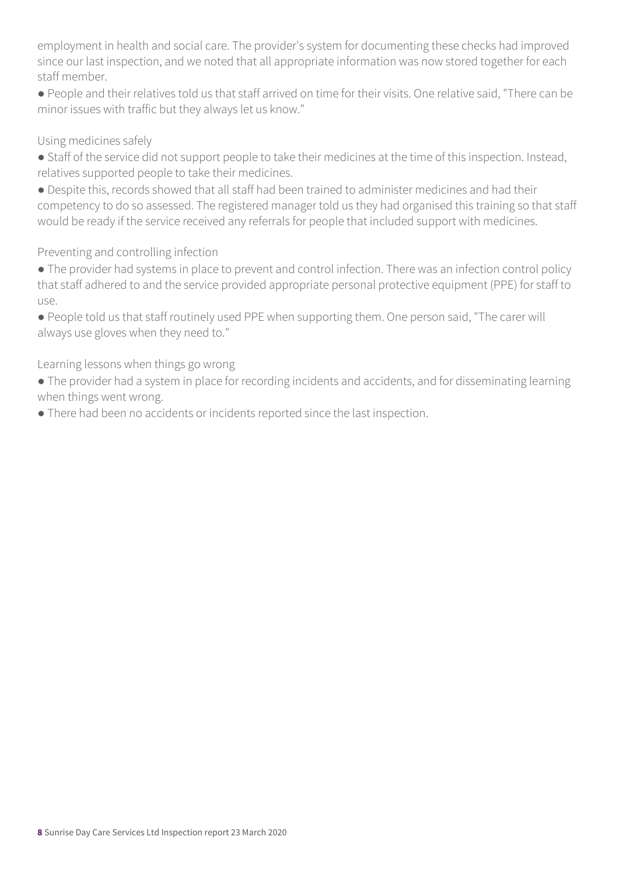employment in health and social care. The provider's system for documenting these checks had improved since our last inspection, and we noted that all appropriate information was now stored together for each staff member.

● People and their relatives told us that staff arrived on time for their visits. One relative said, "There can be minor issues with traffic but they always let us know."

#### Using medicines safely

● Staff of the service did not support people to take their medicines at the time of this inspection. Instead, relatives supported people to take their medicines.

● Despite this, records showed that all staff had been trained to administer medicines and had their competency to do so assessed. The registered manager told us they had organised this training so that staff would be ready if the service received any referrals for people that included support with medicines.

### Preventing and controlling infection

- The provider had systems in place to prevent and control infection. There was an infection control policy that staff adhered to and the service provided appropriate personal protective equipment (PPE) for staff to use.
- People told us that staff routinely used PPE when supporting them. One person said, "The carer will always use gloves when they need to."

#### Learning lessons when things go wrong

- The provider had a system in place for recording incidents and accidents, and for disseminating learning when things went wrong.
- There had been no accidents or incidents reported since the last inspection.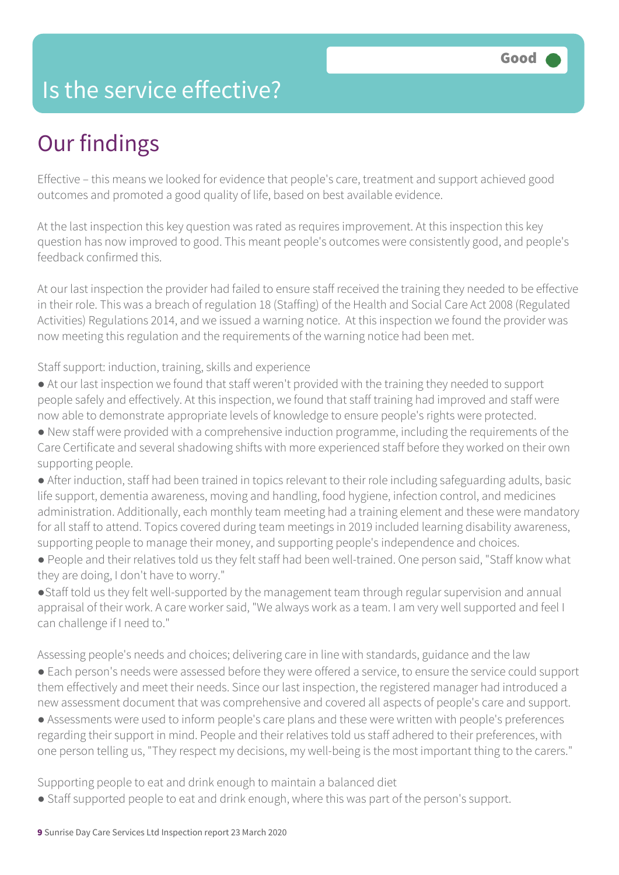### Is the service effective?

## Our findings

Effective – this means we looked for evidence that people's care, treatment and support achieved good outcomes and promoted a good quality of life, based on best available evidence.

At the last inspection this key question was rated as requires improvement. At this inspection this key question has now improved to good. This meant people's outcomes were consistently good, and people's feedback confirmed this.

At our last inspection the provider had failed to ensure staff received the training they needed to be effective in their role. This was a breach of regulation 18 (Staffing) of the Health and Social Care Act 2008 (Regulated Activities) Regulations 2014, and we issued a warning notice. At this inspection we found the provider was now meeting this regulation and the requirements of the warning notice had been met.

Staff support: induction, training, skills and experience

- At our last inspection we found that staff weren't provided with the training they needed to support people safely and effectively. At this inspection, we found that staff training had improved and staff were now able to demonstrate appropriate levels of knowledge to ensure people's rights were protected.
- New staff were provided with a comprehensive induction programme, including the requirements of the Care Certificate and several shadowing shifts with more experienced staff before they worked on their own supporting people.
- After induction, staff had been trained in topics relevant to their role including safeguarding adults, basic life support, dementia awareness, moving and handling, food hygiene, infection control, and medicines administration. Additionally, each monthly team meeting had a training element and these were mandatory for all staff to attend. Topics covered during team meetings in 2019 included learning disability awareness, supporting people to manage their money, and supporting people's independence and choices.
- People and their relatives told us they felt staff had been well-trained. One person said, "Staff know what they are doing, I don't have to worry."
- ●Staff told us they felt well-supported by the management team through regular supervision and annual appraisal of their work. A care worker said, "We always work as a team. I am very well supported and feel I can challenge if I need to."

Assessing people's needs and choices; delivering care in line with standards, guidance and the law ● Each person's needs were assessed before they were offered a service, to ensure the service could support them effectively and meet their needs. Since our last inspection, the registered manager had introduced a new assessment document that was comprehensive and covered all aspects of people's care and support.

● Assessments were used to inform people's care plans and these were written with people's preferences regarding their support in mind. People and their relatives told us staff adhered to their preferences, with one person telling us, "They respect my decisions, my well-being is the most important thing to the carers."

Supporting people to eat and drink enough to maintain a balanced diet

● Staff supported people to eat and drink enough, where this was part of the person's support.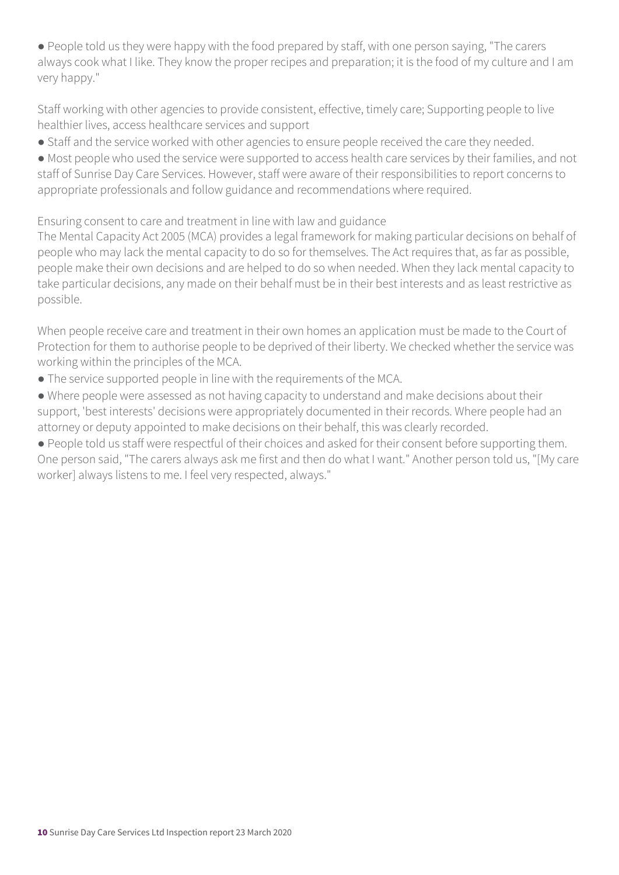● People told us they were happy with the food prepared by staff, with one person saying, "The carers always cook what I like. They know the proper recipes and preparation; it is the food of my culture and I am very happy."

Staff working with other agencies to provide consistent, effective, timely care; Supporting people to live healthier lives, access healthcare services and support

● Staff and the service worked with other agencies to ensure people received the care they needed.

● Most people who used the service were supported to access health care services by their families, and not staff of Sunrise Day Care Services. However, staff were aware of their responsibilities to report concerns to appropriate professionals and follow guidance and recommendations where required.

Ensuring consent to care and treatment in line with law and guidance

The Mental Capacity Act 2005 (MCA) provides a legal framework for making particular decisions on behalf of people who may lack the mental capacity to do so for themselves. The Act requires that, as far as possible, people make their own decisions and are helped to do so when needed. When they lack mental capacity to take particular decisions, any made on their behalf must be in their best interests and as least restrictive as possible.

When people receive care and treatment in their own homes an application must be made to the Court of Protection for them to authorise people to be deprived of their liberty. We checked whether the service was working within the principles of the MCA.

● The service supported people in line with the requirements of the MCA.

● Where people were assessed as not having capacity to understand and make decisions about their support, 'best interests' decisions were appropriately documented in their records. Where people had an attorney or deputy appointed to make decisions on their behalf, this was clearly recorded.

● People told us staff were respectful of their choices and asked for their consent before supporting them. One person said, "The carers always ask me first and then do what I want." Another person told us, "[My care worker] always listens to me. I feel very respected, always."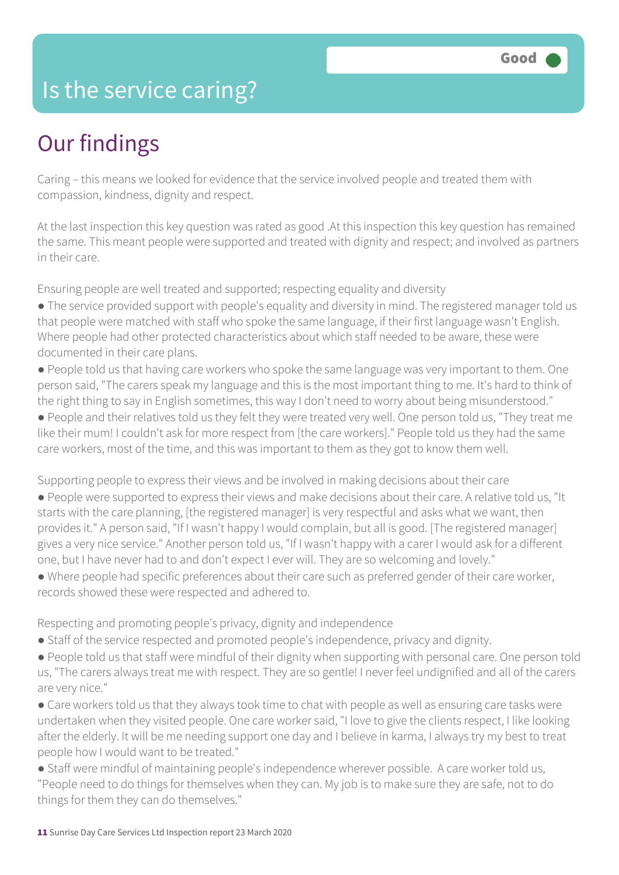### Is the service caring?

### Our findings

Caring – this means we looked for evidence that the service involved people and treated them with compassion, kindness, dignity and respect.

At the last inspection this key question was rated as good .At this inspection this key question has remained the same. This meant people were supported and treated with dignity and respect; and involved as partners in their care.

Ensuring people are well treated and supported; respecting equality and diversity

- The service provided support with people's equality and diversity in mind. The registered manager told us that people were matched with staff who spoke the same language, if their first language wasn't English. Where people had other protected characteristics about which staff needed to be aware, these were documented in their care plans.
- People told us that having care workers who spoke the same language was very important to them. One person said, "The carers speak my language and this is the most important thing to me. It's hard to think of the right thing to say in English sometimes, this way I don't need to worry about being misunderstood."

● People and their relatives told us they felt they were treated very well. One person told us, "They treat me like their mum! I couldn't ask for more respect from [the care workers]." People told us they had the same care workers, most of the time, and this was important to them as they got to know them well.

Supporting people to express their views and be involved in making decisions about their care

- People were supported to express their views and make decisions about their care. A relative told us, "It starts with the care planning, [the registered manager] is very respectful and asks what we want, then provides it." A person said, "If I wasn't happy I would complain, but all is good. [The registered manager] gives a very nice service." Another person told us, "If I wasn't happy with a carer I would ask for a different one, but I have never had to and don't expect I ever will. They are so welcoming and lovely."
- Where people had specific preferences about their care such as preferred gender of their care worker, records showed these were respected and adhered to.

Respecting and promoting people's privacy, dignity and independence

- Staff of the service respected and promoted people's independence, privacy and dignity.
- People told us that staff were mindful of their dignity when supporting with personal care. One person told us, "The carers always treat me with respect. They are so gentle! I never feel undignified and all of the carers are very nice."
- Care workers told us that they always took time to chat with people as well as ensuring care tasks were undertaken when they visited people. One care worker said, "I love to give the clients respect, I like looking after the elderly. It will be me needing support one day and I believe in karma, I always try my best to treat people how I would want to be treated."
- Staff were mindful of maintaining people's independence wherever possible. A care worker told us, "People need to do things for themselves when they can. My job is to make sure they are safe, not to do things for them they can do themselves."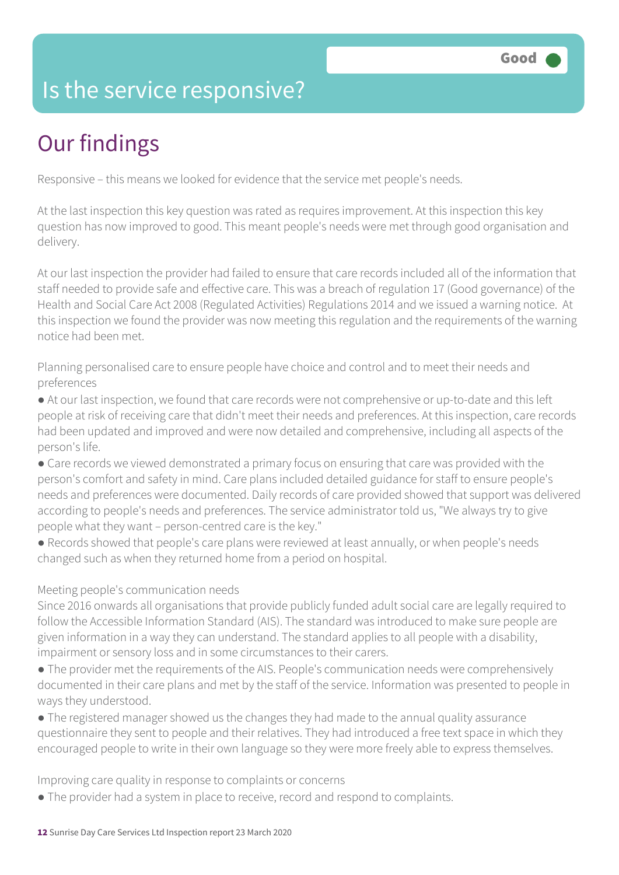### Is the service responsive?

# Our findings

Responsive – this means we looked for evidence that the service met people's needs.

At the last inspection this key question was rated as requires improvement. At this inspection this key question has now improved to good. This meant people's needs were met through good organisation and delivery.

At our last inspection the provider had failed to ensure that care records included all of the information that staff needed to provide safe and effective care. This was a breach of regulation 17 (Good governance) of the Health and Social Care Act 2008 (Regulated Activities) Regulations 2014 and we issued a warning notice. At this inspection we found the provider was now meeting this regulation and the requirements of the warning notice had been met.

Planning personalised care to ensure people have choice and control and to meet their needs and preferences

● At our last inspection, we found that care records were not comprehensive or up-to-date and this left people at risk of receiving care that didn't meet their needs and preferences. At this inspection, care records had been updated and improved and were now detailed and comprehensive, including all aspects of the person's life.

- Care records we viewed demonstrated a primary focus on ensuring that care was provided with the person's comfort and safety in mind. Care plans included detailed guidance for staff to ensure people's needs and preferences were documented. Daily records of care provided showed that support was delivered according to people's needs and preferences. The service administrator told us, "We always try to give people what they want – person-centred care is the key."
- Records showed that people's care plans were reviewed at least annually, or when people's needs changed such as when they returned home from a period on hospital.

### Meeting people's communication needs

Since 2016 onwards all organisations that provide publicly funded adult social care are legally required to follow the Accessible Information Standard (AIS). The standard was introduced to make sure people are given information in a way they can understand. The standard applies to all people with a disability, impairment or sensory loss and in some circumstances to their carers.

- The provider met the requirements of the AIS. People's communication needs were comprehensively documented in their care plans and met by the staff of the service. Information was presented to people in ways they understood.
- The registered manager showed us the changes they had made to the annual quality assurance questionnaire they sent to people and their relatives. They had introduced a free text space in which they encouraged people to write in their own language so they were more freely able to express themselves.

Improving care quality in response to complaints or concerns

• The provider had a system in place to receive, record and respond to complaints.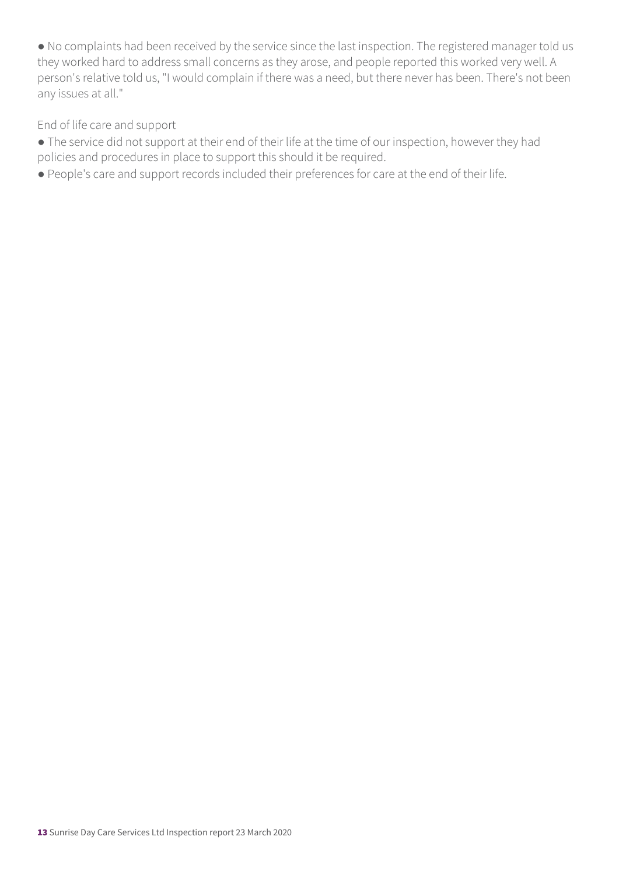● No complaints had been received by the service since the last inspection. The registered manager told us they worked hard to address small concerns as they arose, and people reported this worked very well. A person's relative told us, "I would complain if there was a need, but there never has been. There's not been any issues at all."

End of life care and support

- The service did not support at their end of their life at the time of our inspection, however they had policies and procedures in place to support this should it be required.
- People's care and support records included their preferences for care at the end of their life.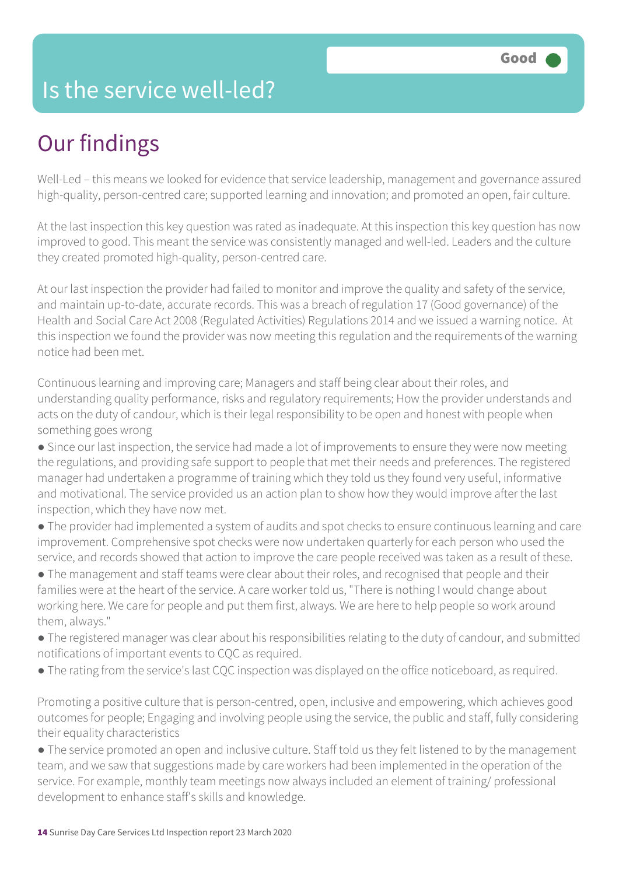### Is the service well-led?

## Our findings

Well-Led – this means we looked for evidence that service leadership, management and governance assured high-quality, person-centred care; supported learning and innovation; and promoted an open, fair culture.

At the last inspection this key question was rated as inadequate. At this inspection this key question has now improved to good. This meant the service was consistently managed and well-led. Leaders and the culture they created promoted high-quality, person-centred care.

At our last inspection the provider had failed to monitor and improve the quality and safety of the service, and maintain up-to-date, accurate records. This was a breach of regulation 17 (Good governance) of the Health and Social Care Act 2008 (Regulated Activities) Regulations 2014 and we issued a warning notice. At this inspection we found the provider was now meeting this regulation and the requirements of the warning notice had been met.

Continuous learning and improving care; Managers and staff being clear about their roles, and understanding quality performance, risks and regulatory requirements; How the provider understands and acts on the duty of candour, which is their legal responsibility to be open and honest with people when something goes wrong

• Since our last inspection, the service had made a lot of improvements to ensure they were now meeting the regulations, and providing safe support to people that met their needs and preferences. The registered manager had undertaken a programme of training which they told us they found very useful, informative and motivational. The service provided us an action plan to show how they would improve after the last inspection, which they have now met.

- The provider had implemented a system of audits and spot checks to ensure continuous learning and care improvement. Comprehensive spot checks were now undertaken quarterly for each person who used the service, and records showed that action to improve the care people received was taken as a result of these.
- The management and staff teams were clear about their roles, and recognised that people and their families were at the heart of the service. A care worker told us, "There is nothing I would change about working here. We care for people and put them first, always. We are here to help people so work around them, always."
- The registered manager was clear about his responsibilities relating to the duty of candour, and submitted notifications of important events to CQC as required.
- The rating from the service's last CQC inspection was displayed on the office noticeboard, as required.

Promoting a positive culture that is person-centred, open, inclusive and empowering, which achieves good outcomes for people; Engaging and involving people using the service, the public and staff, fully considering their equality characteristics

● The service promoted an open and inclusive culture. Staff told us they felt listened to by the management team, and we saw that suggestions made by care workers had been implemented in the operation of the service. For example, monthly team meetings now always included an element of training/ professional development to enhance staff's skills and knowledge.